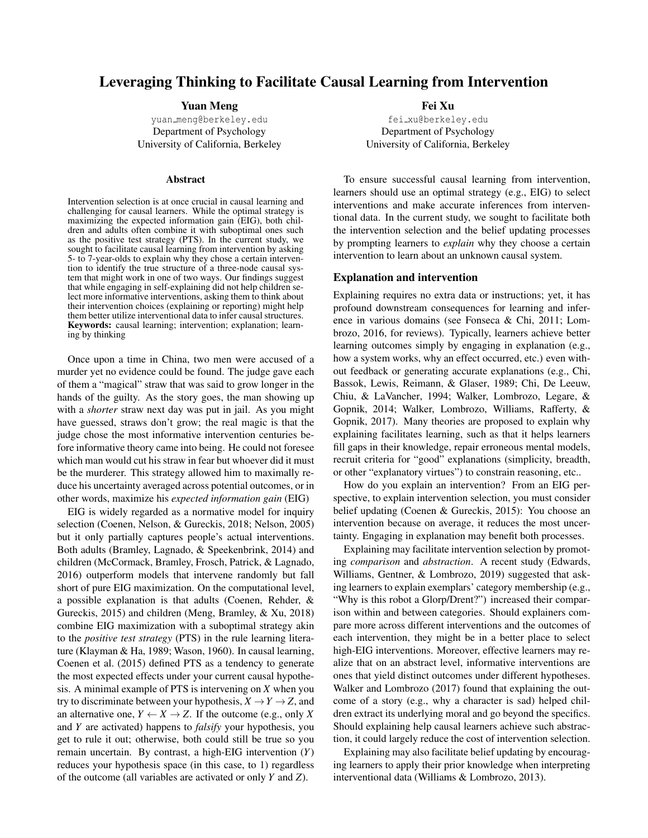# Leveraging Thinking to Facilitate Causal Learning from Intervention

#### Yuan Meng

yuan [meng@berkeley.edu](mailto:yuan_meng@berkeley.edu) Department of Psychology University of California, Berkeley

#### Abstract

Intervention selection is at once crucial in causal learning and challenging for causal learners. While the optimal strategy is maximizing the expected information gain (EIG), both children and adults often combine it with suboptimal ones such as the positive test strategy (PTS). In the current study, we sought to facilitate causal learning from intervention by asking 5- to 7-year-olds to explain why they chose a certain intervention to identify the true structure of a three-node causal system that might work in one of two ways. Our findings suggest that while engaging in self-explaining did not help children select more informative interventions, asking them to think about their intervention choices (explaining or reporting) might help them better utilize interventional data to infer causal structures. Keywords: causal learning; intervention; explanation; learning by thinking

Once upon a time in China, two men were accused of a murder yet no evidence could be found. The judge gave each of them a "magical" straw that was said to grow longer in the hands of the guilty. As the story goes, the man showing up with a *shorter* straw next day was put in jail. As you might have guessed, straws don't grow; the real magic is that the judge chose the most informative intervention centuries before informative theory came into being. He could not foresee which man would cut his straw in fear but whoever did it must be the murderer. This strategy allowed him to maximally reduce his uncertainty averaged across potential outcomes, or in other words, maximize his *expected information gain* (EIG)

EIG is widely regarded as a normative model for inquiry selection [\(Coenen, Nelson, & Gureckis, 2018;](#page-5-0) [Nelson, 2005\)](#page-6-0) but it only partially captures people's actual interventions. Both adults [\(Bramley, Lagnado, & Speekenbrink, 2014\)](#page-5-1) and children [\(McCormack, Bramley, Frosch, Patrick, & Lagnado,](#page-6-1) [2016\)](#page-6-1) outperform models that intervene randomly but fall short of pure EIG maximization. On the computational level, a possible explanation is that adults [\(Coenen, Rehder, &](#page-5-2) [Gureckis, 2015\)](#page-5-2) and children [\(Meng, Bramley, & Xu, 2018\)](#page-6-2) combine EIG maximization with a suboptimal strategy akin to the *positive test strategy* (PTS) in the rule learning literature [\(Klayman & Ha, 1989;](#page-6-3) [Wason, 1960\)](#page-6-4). In causal learning, [Coenen et al.](#page-5-2) [\(2015\)](#page-5-2) defined PTS as a tendency to generate the most expected effects under your current causal hypothesis. A minimal example of PTS is intervening on *X* when you try to discriminate between your hypothesis,  $X \rightarrow Y \rightarrow Z$ , and an alternative one,  $Y \leftarrow X \rightarrow Z$ . If the outcome (e.g., only X) and *Y* are activated) happens to *falsify* your hypothesis, you get to rule it out; otherwise, both could still be true so you remain uncertain. By contrast, a high-EIG intervention (*Y*) reduces your hypothesis space (in this case, to 1) regardless of the outcome (all variables are activated or only *Y* and *Z*).

Fei Xu fei [xu@berkeley.edu](mailto:fei_xu@berkeley.edu) Department of Psychology University of California, Berkeley

To ensure successful causal learning from intervention, learners should use an optimal strategy (e.g., EIG) to select interventions and make accurate inferences from interventional data. In the current study, we sought to facilitate both the intervention selection and the belief updating processes by prompting learners to *explain* why they choose a certain intervention to learn about an unknown causal system.

# Explanation and intervention

Explaining requires no extra data or instructions; yet, it has profound downstream consequences for learning and inference in various domains (see [Fonseca & Chi, 2011;](#page-6-5) [Lom](#page-6-6)[brozo, 2016,](#page-6-6) for reviews). Typically, learners achieve better learning outcomes simply by engaging in explanation (e.g., how a system works, why an effect occurred, etc.) even without feedback or generating accurate explanations (e.g., [Chi,](#page-5-3) [Bassok, Lewis, Reimann, & Glaser, 1989;](#page-5-3) [Chi, De Leeuw,](#page-5-4) [Chiu, & LaVancher, 1994;](#page-5-4) [Walker, Lombrozo, Legare, &](#page-6-7) [Gopnik, 2014;](#page-6-7) [Walker, Lombrozo, Williams, Rafferty, &](#page-6-8) [Gopnik, 2017\)](#page-6-8). Many theories are proposed to explain why explaining facilitates learning, such as that it helps learners fill gaps in their knowledge, repair erroneous mental models, recruit criteria for "good" explanations (simplicity, breadth, or other "explanatory virtues") to constrain reasoning, etc..

How do you explain an intervention? From an EIG perspective, to explain intervention selection, you must consider belief updating [\(Coenen & Gureckis, 2015\)](#page-5-5): You choose an intervention because on average, it reduces the most uncertainty. Engaging in explanation may benefit both processes.

Explaining may facilitate intervention selection by promoting *comparison* and *abstraction*. A recent study [\(Edwards,](#page-5-6) [Williams, Gentner, & Lombrozo, 2019\)](#page-5-6) suggested that asking learners to explain exemplars' category membership (e.g., "Why is this robot a Glorp/Drent?") increased their comparison within and between categories. Should explainers compare more across different interventions and the outcomes of each intervention, they might be in a better place to select high-EIG interventions. Moreover, effective learners may realize that on an abstract level, informative interventions are ones that yield distinct outcomes under different hypotheses. Walker and Lombrozo (2017) found that explaining the outcome of a story (e.g., why a character is sad) helped children extract its underlying moral and go beyond the specifics. Should explaining help causal learners achieve such abstraction, it could largely reduce the cost of intervention selection.

Explaining may also facilitate belief updating by encouraging learners to apply their prior knowledge when interpreting interventional data [\(Williams & Lombrozo, 2013\)](#page-6-9).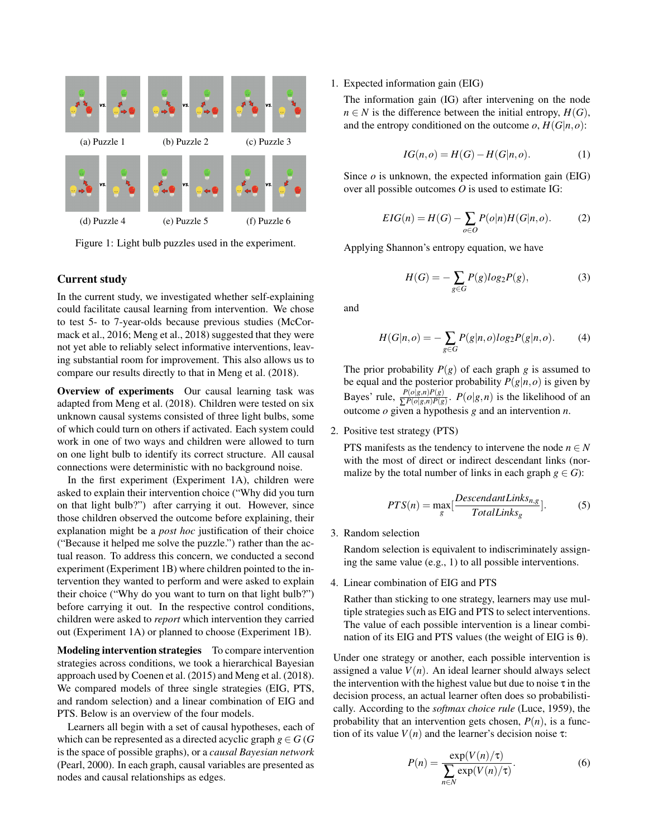

Figure 1: Light bulb puzzles used in the experiment.

# Current study

In the current study, we investigated whether self-explaining could facilitate causal learning from intervention. We chose to test 5- to 7-year-olds because previous studies [\(McCor](#page-6-1)[mack et al., 2016;](#page-6-1) [Meng et al., 2018\)](#page-6-2) suggested that they were not yet able to reliably select informative interventions, leaving substantial room for improvement. This also allows us to compare our results directly to that in [Meng et al.](#page-6-2) [\(2018\)](#page-6-2).

Overview of experiments Our causal learning task was adapted from [Meng et al.](#page-6-2) [\(2018\)](#page-6-2). Children were tested on six unknown causal systems consisted of three light bulbs, some of which could turn on others if activated. Each system could work in one of two ways and children were allowed to turn on one light bulb to identify its correct structure. All causal connections were deterministic with no background noise.

In the first experiment (Experiment 1A), children were asked to explain their intervention choice ("Why did you turn on that light bulb?") after carrying it out. However, since those children observed the outcome before explaining, their explanation might be a *post hoc* justification of their choice ("Because it helped me solve the puzzle.") rather than the actual reason. To address this concern, we conducted a second experiment (Experiment 1B) where children pointed to the intervention they wanted to perform and were asked to explain their choice ("Why do you want to turn on that light bulb?") before carrying it out. In the respective control conditions, children were asked to *report* which intervention they carried out (Experiment 1A) or planned to choose (Experiment 1B).

Modeling intervention strategies To compare intervention strategies across conditions, we took a hierarchical Bayesian approach used by [Coenen et al.](#page-5-2) [\(2015\)](#page-5-2) and [Meng et al.](#page-6-2) [\(2018\)](#page-6-2). We compared models of three single strategies (EIG, PTS, and random selection) and a linear combination of EIG and PTS. Below is an overview of the four models.

Learners all begin with a set of causal hypotheses, each of which can be represented as a directed acyclic graph  $g \in G$  (*G* is the space of possible graphs), or a *causal Bayesian network* [\(Pearl, 2000\)](#page-6-10). In each graph, causal variables are presented as nodes and causal relationships as edges.

#### 1. Expected information gain (EIG)

The information gain (IG) after intervening on the node *n* ∈ *N* is the difference between the initial entropy,  $H$ (*G*), and the entropy conditioned on the outcome  $o$ ,  $H(G|n, o)$ :

$$
IG(n, o) = H(G) - H(G|n, o).
$$
 (1)

Since *o* is unknown, the expected information gain (EIG) over all possible outcomes *O* is used to estimate IG:

$$
EIG(n) = H(G) - \sum_{o \in O} P(o|n)H(G|n, o).
$$
 (2)

Applying Shannon's entropy equation, we have

$$
H(G) = -\sum_{g \in G} P(g) \log_2 P(g),\tag{3}
$$

and

$$
H(G|n, o) = -\sum_{g \in G} P(g|n, o) \log_2 P(g|n, o).
$$
 (4)

The prior probability  $P(g)$  of each graph *g* is assumed to be equal and the posterior probability  $P(g|n, o)$  is given by Bayes' rule,  $\frac{P(o|g,n)P(g)}{\sum P(o|g,n)P(g)}$ .  $P(o|g,n)$  is the likelihood of an outcome *o* given a hypothesis *g* and an intervention *n*.

2. Positive test strategy (PTS)

PTS manifests as the tendency to intervene the node  $n \in N$ with the most of direct or indirect descendant links (normalize by the total number of links in each graph  $g \in G$ :

$$
PTS(n) = \max_{g} \left[ \frac{Descendant Links_{n,g}}{Total Links_g} \right].
$$
 (5)

3. Random selection

Random selection is equivalent to indiscriminately assigning the same value (e.g., 1) to all possible interventions.

4. Linear combination of EIG and PTS

Rather than sticking to one strategy, learners may use multiple strategies such as EIG and PTS to select interventions. The value of each possible intervention is a linear combination of its EIG and PTS values (the weight of EIG is  $\theta$ ).

Under one strategy or another, each possible intervention is assigned a value  $V(n)$ . An ideal learner should always select the intervention with the highest value but due to noise  $\tau$  in the decision process, an actual learner often does so probabilistically. According to the *softmax choice rule* [\(Luce, 1959\)](#page-6-11), the probability that an intervention gets chosen,  $P(n)$ , is a function of its value  $V(n)$  and the learner's decision noise  $\tau$ :

$$
P(n) = \frac{\exp(V(n)/\tau)}{\sum_{n \in N} \exp(V(n)/\tau)}.
$$
 (6)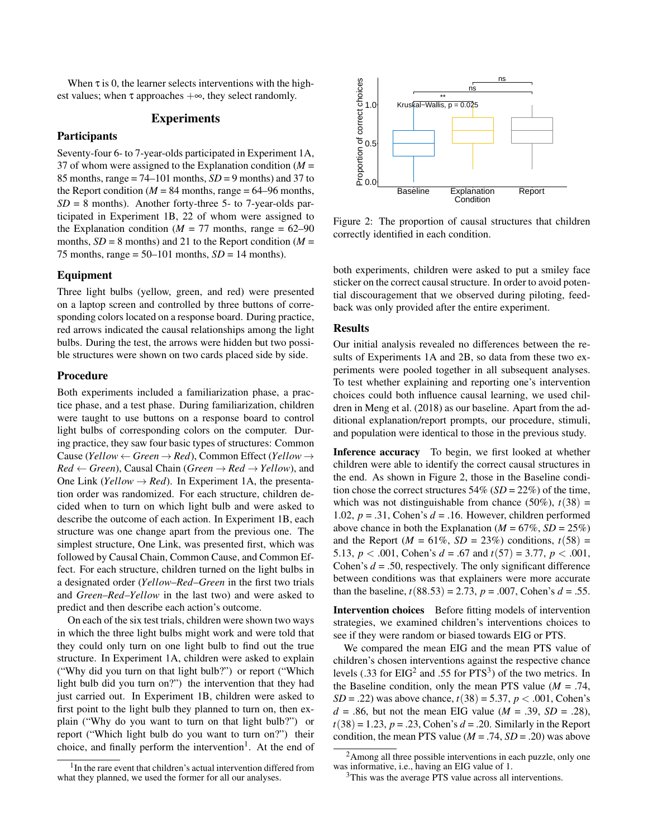When  $\tau$  is 0, the learner selects interventions with the highest values; when  $\tau$  approaches  $+\infty$ , they select randomly.

# Experiments

# **Participants**

Seventy-four 6- to 7-year-olds participated in Experiment 1A, 37 of whom were assigned to the Explanation condition (*M* = 85 months, range  $= 74-101$  months,  $SD = 9$  months) and 37 to the Report condition ( $M = 84$  months, range = 64–96 months,  $SD = 8$  months). Another forty-three 5- to 7-year-olds participated in Experiment 1B, 22 of whom were assigned to the Explanation condition ( $M = 77$  months, range = 62–90 months,  $SD = 8$  months) and 21 to the Report condition ( $M =$ 75 months, range =  $50-101$  months,  $SD = 14$  months).

#### Equipment

Three light bulbs (yellow, green, and red) were presented on a laptop screen and controlled by three buttons of corresponding colors located on a response board. During practice, red arrows indicated the causal relationships among the light bulbs. During the test, the arrows were hidden but two possible structures were shown on two cards placed side by side.

# Procedure

Both experiments included a familiarization phase, a practice phase, and a test phase. During familiarization, children were taught to use buttons on a response board to control light bulbs of corresponding colors on the computer. During practice, they saw four basic types of structures: Common Cause (*Yellow* ← *Green* → *Red*), Common Effect (*Yellow* →  $Red \leftarrow Green$ , Causal Chain (*Green*  $\rightarrow Red \rightarrow Yellow$ ), and One Link (*Yellow*  $\rightarrow$  *Red*). In Experiment 1A, the presentation order was randomized. For each structure, children decided when to turn on which light bulb and were asked to describe the outcome of each action. In Experiment 1B, each structure was one change apart from the previous one. The simplest structure, One Link, was presented first, which was followed by Causal Chain, Common Cause, and Common Effect. For each structure, children turned on the light bulbs in a designated order (*Yellow*–*Red*–*Green* in the first two trials and *Green*–*Red*–*Yellow* in the last two) and were asked to predict and then describe each action's outcome.

On each of the six test trials, children were shown two ways in which the three light bulbs might work and were told that they could only turn on one light bulb to find out the true structure. In Experiment 1A, children were asked to explain ("Why did you turn on that light bulb?") or report ("Which light bulb did you turn on?") the intervention that they had just carried out. In Experiment 1B, children were asked to first point to the light bulb they planned to turn on, then explain ("Why do you want to turn on that light bulb?") or report ("Which light bulb do you want to turn on?") their choice, and finally perform the intervention<sup>[1](#page-2-0)</sup>. At the end of

<span id="page-2-0"></span>



Figure 2: The proportion of causal structures that children correctly identified in each condition.

both experiments, children were asked to put a smiley face sticker on the correct causal structure. In order to avoid potential discouragement that we observed during piloting, feedback was only provided after the entire experiment.

#### **Results**

Our initial analysis revealed no differences between the results of Experiments 1A and 2B, so data from these two experiments were pooled together in all subsequent analyses. To test whether explaining and reporting one's intervention choices could both influence causal learning, we used children in [Meng et al.](#page-6-2) [\(2018\)](#page-6-2) as our baseline. Apart from the additional explanation/report prompts, our procedure, stimuli, and population were identical to those in the previous study.

Inference accuracy To begin, we first looked at whether children were able to identify the correct causal structures in the end. As shown in Figure 2, those in the Baseline condition chose the correct structures 54% (*SD* = 22%) of the time, which was not distinguishable from chance  $(50\%)$ ,  $t(38)$  = 1.02,  $p = .31$ , Cohen's  $d = .16$ . However, children performed above chance in both the Explanation ( $M = 67\%$ ,  $SD = 25\%$ ) and the Report ( $M = 61\%$ ,  $SD = 23\%$ ) conditions,  $t(58) =$ 5.13,  $p < .001$ , Cohen's  $d = .67$  and  $t(57) = 3.77$ ,  $p < .001$ , Cohen's *d* = .50, respectively. The only significant difference between conditions was that explainers were more accurate than the baseline,  $t(88.53) = 2.73$ ,  $p = .007$ , Cohen's  $d = .55$ .

Intervention choices Before fitting models of intervention strategies, we examined children's interventions choices to see if they were random or biased towards EIG or PTS.

We compared the mean EIG and the mean PTS value of children's chosen interventions against the respective chance levels (.[3](#page-2-2)3 for  $EIG<sup>2</sup>$  $EIG<sup>2</sup>$  $EIG<sup>2</sup>$  and .55 for  $PTS<sup>3</sup>$ ) of the two metrics. In the Baseline condition, only the mean PTS value  $(M = .74, )$ *SD* = .22) was above chance,  $t(38) = 5.37$ ,  $p < .001$ , Cohen's *d* = .86, but not the mean EIG value ( $M = .39$ ,  $SD = .28$ ),  $t(38) = 1.23$ ,  $p = .23$ , Cohen's  $d = .20$ . Similarly in the Report condition, the mean PTS value  $(M = .74, SD = .20)$  was above

<span id="page-2-1"></span><sup>&</sup>lt;sup>2</sup>Among all three possible interventions in each puzzle, only one was informative, i.e., having an EIG value of 1.

<span id="page-2-2"></span><sup>&</sup>lt;sup>3</sup>This was the average PTS value across all interventions.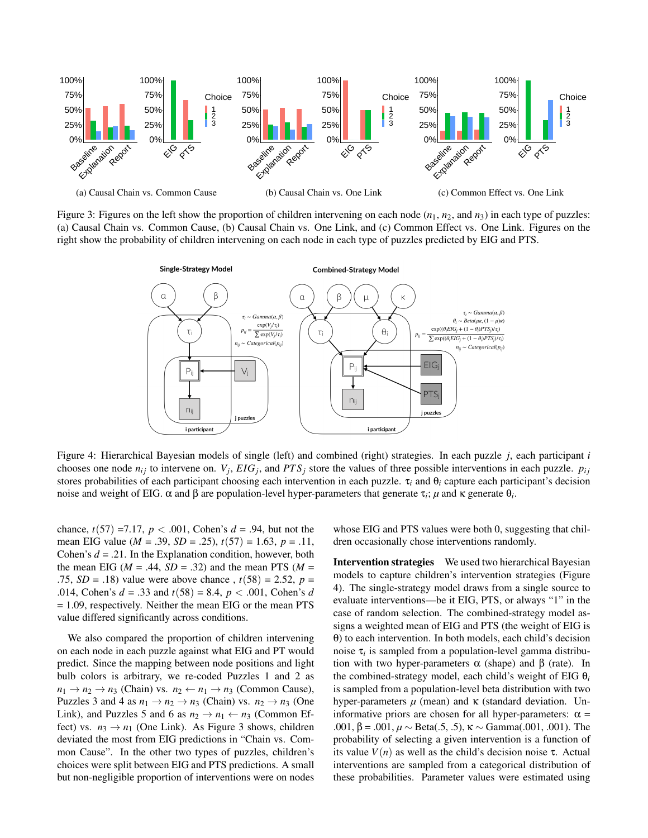

Figure 3: Figures on the left show the proportion of children intervening on each node  $(n_1, n_2,$  and  $n_3)$  in each type of puzzles: (a) Causal Chain vs. Common Cause, (b) Causal Chain vs. One Link, and (c) Common Effect vs. One Link. Figures on the right show the probability of children intervening on each node in each type of puzzles predicted by EIG and PTS.



Figure 4: Hierarchical Bayesian models of single (left) and combined (right) strategies. In each puzzle *j*, each participant *i* chooses one node  $n_{ij}$  to intervene on.  $V_j$ ,  $EIG_j$ , and  $PTS_j$  store the values of three possible interventions in each puzzle.  $p_{ij}$ stores probabilities of each participant choosing each intervention in each puzzle. τ*<sup>i</sup>* and θ*<sup>i</sup>* capture each participant's decision noise and weight of EIG.  $\alpha$  and  $\beta$  are population-level hyper-parameters that generate  $\tau_i$ ; *μ* and κ generate  $\theta_i$ .

chance,  $t(57) = 7.17$ ,  $p < .001$ , Cohen's  $d = .94$ , but not the mean EIG value (*M* = .39, *SD* = .25), *t*(57) = 1.63, *p* = .11, Cohen's *d* = .21. In the Explanation condition, however, both the mean EIG ( $M = .44$ ,  $SD = .32$ ) and the mean PTS ( $M =$ .75, *SD* = .18) value were above chance ,  $t(58) = 2.52$ ,  $p =$ .014, Cohen's *d* = .33 and *t*(58) = 8.4, *p* < .001, Cohen's *d* = 1.09, respectively. Neither the mean EIG or the mean PTS value differed significantly across conditions.

We also compared the proportion of children intervening on each node in each puzzle against what EIG and PT would predict. Since the mapping between node positions and light bulb colors is arbitrary, we re-coded Puzzles 1 and 2 as  $n_1 \rightarrow n_2 \rightarrow n_3$  (Chain) vs.  $n_2 \leftarrow n_1 \rightarrow n_3$  (Common Cause), Puzzles 3 and 4 as  $n_1 \rightarrow n_2 \rightarrow n_3$  (Chain) vs.  $n_2 \rightarrow n_3$  (One Link), and Puzzles 5 and 6 as  $n_2 \rightarrow n_1 \leftarrow n_3$  (Common Effect) vs.  $n_3 \rightarrow n_1$  (One Link). As Figure 3 shows, children deviated the most from EIG predictions in "Chain vs. Common Cause". In the other two types of puzzles, children's choices were split between EIG and PTS predictions. A small but non-negligible proportion of interventions were on nodes whose EIG and PTS values were both 0, suggesting that children occasionally chose interventions randomly.

Intervention strategies We used two hierarchical Bayesian models to capture children's intervention strategies (Figure 4). The single-strategy model draws from a single source to evaluate interventions—be it EIG, PTS, or always "1" in the case of random selection. The combined-strategy model assigns a weighted mean of EIG and PTS (the weight of EIG is θ) to each intervention. In both models, each child's decision noise τ*<sup>i</sup>* is sampled from a population-level gamma distribution with two hyper-parameters  $\alpha$  (shape) and β (rate). In the combined-strategy model, each child's weight of EIG θ*<sup>i</sup>* is sampled from a population-level beta distribution with two hyper-parameters  $\mu$  (mean) and κ (standard deviation. Uninformative priors are chosen for all hyper-parameters:  $\alpha$  = .001, β = .001,  $\mu$  ∼ Beta(.5, .5), κ ∼ Gamma(.001, .001). The probability of selecting a given intervention is a function of its value  $V(n)$  as well as the child's decision noise τ. Actual interventions are sampled from a categorical distribution of these probabilities. Parameter values were estimated using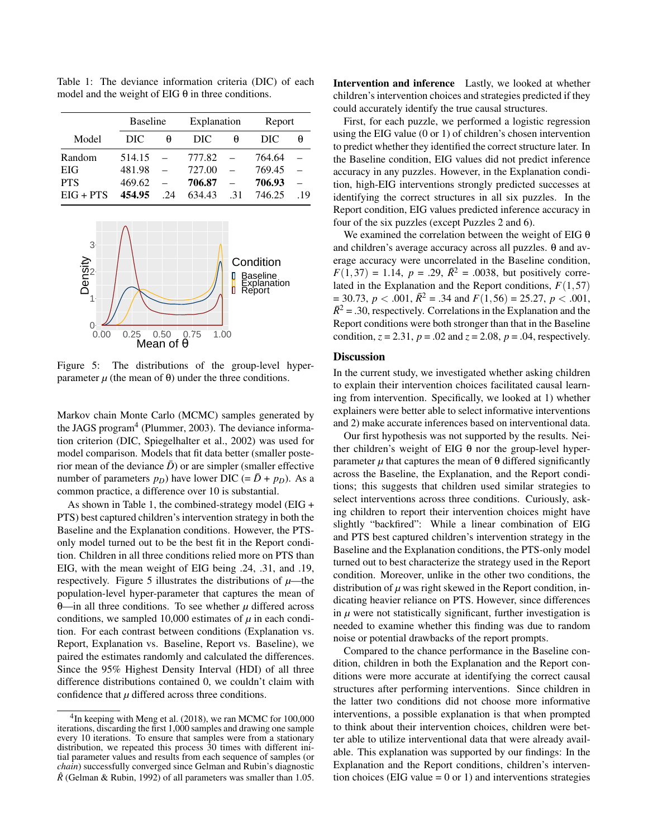Table 1: The deviance information criteria (DIC) of each model and the weight of EIG  $\theta$  in three conditions.

|             | <b>Baseline</b> |    | Explanation |     | Report |     |
|-------------|-----------------|----|-------------|-----|--------|-----|
| Model       | DIC             | θ  | DIC         | A   | DIC    | θ   |
| Random      | 514.15          |    | 777.82      |     | 764.64 |     |
| EIG         | 481.98          |    | 727.00      |     | 769.45 |     |
| <b>PTS</b>  | 469.62          |    | 706.87      |     | 706.93 |     |
| $EIG + PTS$ | 454.95          | 24 | 634.43      | .31 | 746.25 | .19 |



Figure 5: The distributions of the group-level hyperparameter  *(the mean of θ) under the three conditions.* 

Markov chain Monte Carlo (MCMC) samples generated by the JAGS program<sup>[4](#page-4-0)</sup> [\(Plummer, 2003\)](#page-6-12). The deviance information criterion (DIC, [Spiegelhalter et al., 2002\)](#page-6-13) was used for model comparison. Models that fit data better (smaller posterior mean of the deviance  $\bar{D}$ ) or are simpler (smaller effective number of parameters  $p_D$ ) have lower DIC (=  $\bar{D}$  +  $p_D$ ). As a common practice, a difference over 10 is substantial.

As shown in Table 1, the combined-strategy model (EIG + PTS) best captured children's intervention strategy in both the Baseline and the Explanation conditions. However, the PTSonly model turned out to be the best fit in the Report condition. Children in all three conditions relied more on PTS than EIG, with the mean weight of EIG being .24, .31, and .19, respectively. Figure 5 illustrates the distributions of  $\mu$ —the population-level hyper-parameter that captures the mean of θ—in all three conditions. To see whether *µ* differed across conditions, we sampled 10,000 estimates of  $\mu$  in each condition. For each contrast between conditions (Explanation vs. Report, Explanation vs. Baseline, Report vs. Baseline), we paired the estimates randomly and calculated the differences. Since the 95% Highest Density Interval (HDI) of all three difference distributions contained 0, we couldn't claim with confidence that  $\mu$  differed across three conditions.

Intervention and inference Lastly, we looked at whether children's intervention choices and strategies predicted if they could accurately identify the true causal structures.

First, for each puzzle, we performed a logistic regression using the EIG value (0 or 1) of children's chosen intervention to predict whether they identified the correct structure later. In the Baseline condition, EIG values did not predict inference accuracy in any puzzles. However, in the Explanation condition, high-EIG interventions strongly predicted successes at identifying the correct structures in all six puzzles. In the Report condition, EIG values predicted inference accuracy in four of the six puzzles (except Puzzles 2 and 6).

We examined the correlation between the weight of EIG  $\theta$ and children's average accuracy across all puzzles. θ and average accuracy were uncorrelated in the Baseline condition,  $F(1,37) = 1.14$ ,  $p = .29$ ,  $\bar{R}^2 = .0038$ , but positively correlated in the Explanation and the Report conditions,  $F(1,57)$  $= 30.73, p < .001, \overline{R^2} = .34$  and  $F(1,56) = 25.27, p < .001$ ,  $\bar{R}^2$  = .30, respectively. Correlations in the Explanation and the Report conditions were both stronger than that in the Baseline condition,  $z = 2.31$ ,  $p = .02$  and  $z = 2.08$ ,  $p = .04$ , respectively.

# **Discussion**

In the current study, we investigated whether asking children to explain their intervention choices facilitated causal learning from intervention. Specifically, we looked at 1) whether explainers were better able to select informative interventions and 2) make accurate inferences based on interventional data.

Our first hypothesis was not supported by the results. Neither children's weight of EIG  $\theta$  nor the group-level hyperparameter  $\mu$  that captures the mean of  $\theta$  differed significantly across the Baseline, the Explanation, and the Report conditions; this suggests that children used similar strategies to select interventions across three conditions. Curiously, asking children to report their intervention choices might have slightly "backfired": While a linear combination of EIG and PTS best captured children's intervention strategy in the Baseline and the Explanation conditions, the PTS-only model turned out to best characterize the strategy used in the Report condition. Moreover, unlike in the other two conditions, the distribution of  $\mu$  was right skewed in the Report condition, indicating heavier reliance on PTS. However, since differences in  $\mu$  were not statistically significant, further investigation is needed to examine whether this finding was due to random noise or potential drawbacks of the report prompts.

Compared to the chance performance in the Baseline condition, children in both the Explanation and the Report conditions were more accurate at identifying the correct causal structures after performing interventions. Since children in the latter two conditions did not choose more informative interventions, a possible explanation is that when prompted to think about their intervention choices, children were better able to utilize interventional data that were already available. This explanation was supported by our findings: In the Explanation and the Report conditions, children's intervention choices (EIG value  $= 0$  or 1) and interventions strategies

<span id="page-4-0"></span><sup>&</sup>lt;sup>4</sup>In keeping with [Meng et al.](#page-6-2) [\(2018\)](#page-6-2), we ran MCMC for 100,000 iterations, discarding the first 1,000 samples and drawing one sample every 10 iterations. To ensure that samples were from a stationary distribution, we repeated this process 30 times with different initial parameter values and results from each sequence of samples (or *chain*) successfully converged since Gelman and Rubin's diagnostic  $\hat{R}$  [\(Gelman & Rubin, 1992\)](#page-6-14) of all parameters was smaller than 1.05.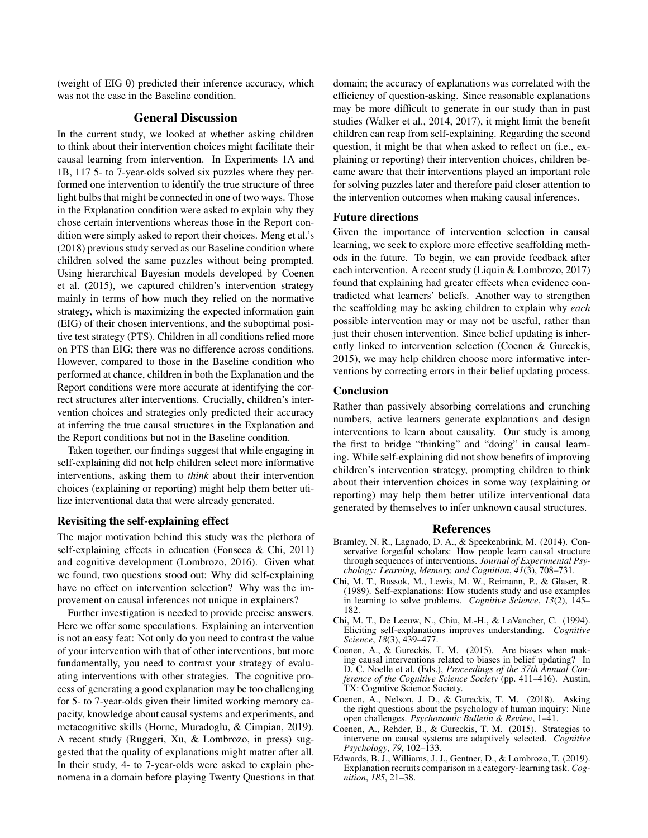(weight of EIG  $\theta$ ) predicted their inference accuracy, which was not the case in the Baseline condition.

# General Discussion

In the current study, we looked at whether asking children to think about their intervention choices might facilitate their causal learning from intervention. In Experiments 1A and 1B, 117 5- to 7-year-olds solved six puzzles where they performed one intervention to identify the true structure of three light bulbs that might be connected in one of two ways. Those in the Explanation condition were asked to explain why they chose certain interventions whereas those in the Report condition were simply asked to report their choices. Meng et al.'s (2018) previous study served as our Baseline condition where children solved the same puzzles without being prompted. Using hierarchical Bayesian models developed by [Coenen](#page-5-2) [et al.](#page-5-2) [\(2015\)](#page-5-2), we captured children's intervention strategy mainly in terms of how much they relied on the normative strategy, which is maximizing the expected information gain (EIG) of their chosen interventions, and the suboptimal positive test strategy (PTS). Children in all conditions relied more on PTS than EIG; there was no difference across conditions. However, compared to those in the Baseline condition who performed at chance, children in both the Explanation and the Report conditions were more accurate at identifying the correct structures after interventions. Crucially, children's intervention choices and strategies only predicted their accuracy at inferring the true causal structures in the Explanation and the Report conditions but not in the Baseline condition.

Taken together, our findings suggest that while engaging in self-explaining did not help children select more informative interventions, asking them to *think* about their intervention choices (explaining or reporting) might help them better utilize interventional data that were already generated.

### Revisiting the self-explaining effect

The major motivation behind this study was the plethora of self-explaining effects in education [\(Fonseca & Chi, 2011\)](#page-6-5) and cognitive development [\(Lombrozo, 2016\)](#page-6-6). Given what we found, two questions stood out: Why did self-explaining have no effect on intervention selection? Why was the improvement on causal inferences not unique in explainers?

Further investigation is needed to provide precise answers. Here we offer some speculations. Explaining an intervention is not an easy feat: Not only do you need to contrast the value of your intervention with that of other interventions, but more fundamentally, you need to contrast your strategy of evaluating interventions with other strategies. The cognitive process of generating a good explanation may be too challenging for 5- to 7-year-olds given their limited working memory capacity, knowledge about causal systems and experiments, and metacognitive skills [\(Horne, Muradoglu, & Cimpian, 2019\)](#page-6-15). A recent study [\(Ruggeri, Xu, & Lombrozo, in press\)](#page-6-16) suggested that the quality of explanations might matter after all. In their study, 4- to 7-year-olds were asked to explain phenomena in a domain before playing Twenty Questions in that domain; the accuracy of explanations was correlated with the efficiency of question-asking. Since reasonable explanations may be more difficult to generate in our study than in past studies [\(Walker et al., 2014,](#page-6-7) [2017\)](#page-6-8), it might limit the benefit children can reap from self-explaining. Regarding the second question, it might be that when asked to reflect on (i.e., explaining or reporting) their intervention choices, children became aware that their interventions played an important role for solving puzzles later and therefore paid closer attention to the intervention outcomes when making causal inferences.

## Future directions

Given the importance of intervention selection in causal learning, we seek to explore more effective scaffolding methods in the future. To begin, we can provide feedback after each intervention. A recent study [\(Liquin & Lombrozo, 2017\)](#page-6-17) found that explaining had greater effects when evidence contradicted what learners' beliefs. Another way to strengthen the scaffolding may be asking children to explain why *each* possible intervention may or may not be useful, rather than just their chosen intervention. Since belief updating is inherently linked to intervention selection [\(Coenen & Gureckis,](#page-5-5) [2015\)](#page-5-5), we may help children choose more informative interventions by correcting errors in their belief updating process.

# Conclusion

Rather than passively absorbing correlations and crunching numbers, active learners generate explanations and design interventions to learn about causality. Our study is among the first to bridge "thinking" and "doing" in causal learning. While self-explaining did not show benefits of improving children's intervention strategy, prompting children to think about their intervention choices in some way (explaining or reporting) may help them better utilize interventional data generated by themselves to infer unknown causal structures.

#### References

- <span id="page-5-1"></span>Bramley, N. R., Lagnado, D. A., & Speekenbrink, M. (2014). Conservative forgetful scholars: How people learn causal structure through sequences of interventions. *Journal of Experimental Psychology: Learning, Memory, and Cognition*, *41*(3), 708–731.
- <span id="page-5-3"></span>Chi, M. T., Bassok, M., Lewis, M. W., Reimann, P., & Glaser, R. (1989). Self-explanations: How students study and use examples in learning to solve problems. *Cognitive Science*, *13*(2), 145– 182.
- <span id="page-5-4"></span>Chi, M. T., De Leeuw, N., Chiu, M.-H., & LaVancher, C. (1994). Eliciting self-explanations improves understanding. *Cognitive Science*, *18*(3), 439–477.
- <span id="page-5-5"></span>Coenen, A., & Gureckis, T. M. (2015). Are biases when making causal interventions related to biases in belief updating? In D. C. Noelle et al. (Eds.), *Proceedings of the 37th Annual Conference of the Cognitive Science Society* (pp. 411–416). Austin, TX: Cognitive Science Society.
- <span id="page-5-0"></span>Coenen, A., Nelson, J. D., & Gureckis, T. M. (2018). Asking the right questions about the psychology of human inquiry: Nine open challenges. *Psychonomic Bulletin & Review*, 1–41.
- <span id="page-5-2"></span>Coenen, A., Rehder, B., & Gureckis, T. M. (2015). Strategies to intervene on causal systems are adaptively selected. *Cognitive Psychology*, *79*, 102–133.
- <span id="page-5-6"></span>Edwards, B. J., Williams, J. J., Gentner, D., & Lombrozo, T. (2019). Explanation recruits comparison in a category-learning task. *Cognition*, *185*, 21–38.